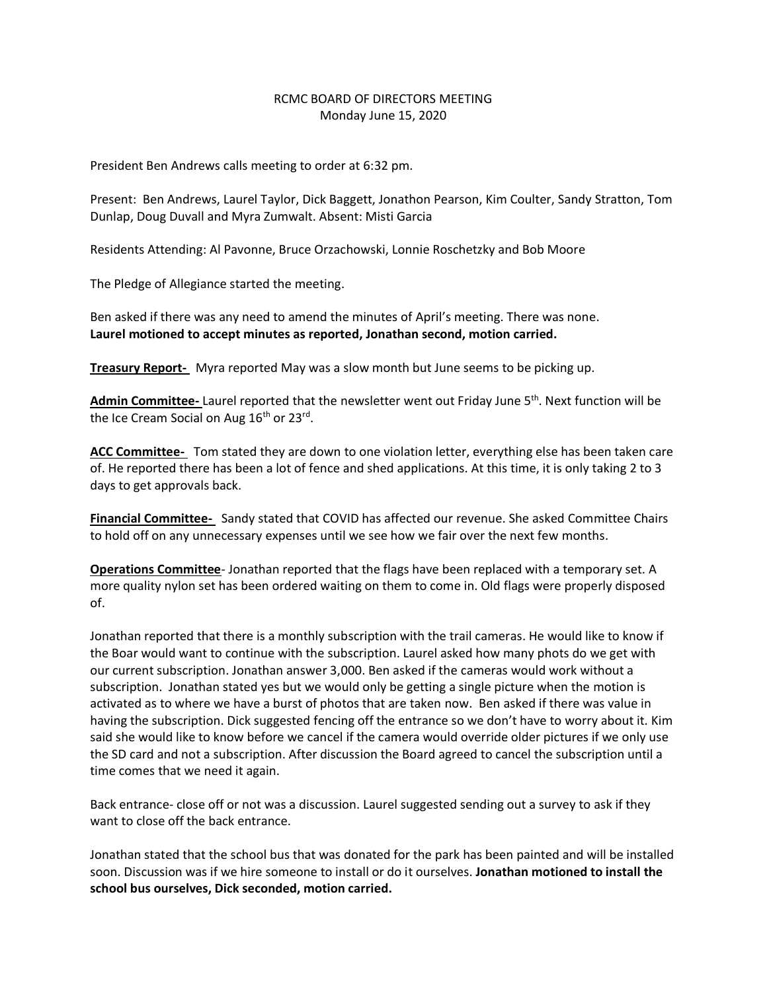## RCMC BOARD OF DIRECTORS MEETING Monday June 15, 2020

President Ben Andrews calls meeting to order at 6:32 pm.

Present: Ben Andrews, Laurel Taylor, Dick Baggett, Jonathon Pearson, Kim Coulter, Sandy Stratton, Tom Dunlap, Doug Duvall and Myra Zumwalt. Absent: Misti Garcia

Residents Attending: Al Pavonne, Bruce Orzachowski, Lonnie Roschetzky and Bob Moore

The Pledge of Allegiance started the meeting.

Ben asked if there was any need to amend the minutes of April's meeting. There was none. **Laurel motioned to accept minutes as reported, Jonathan second, motion carried.**

**Treasury Report-** Myra reported May was a slow month but June seems to be picking up.

**Admin Committee-** Laurel reported that the newsletter went out Friday June 5th. Next function will be the Ice Cream Social on Aug 16<sup>th</sup> or 23<sup>rd</sup>.

**ACC Committee-** Tom stated they are down to one violation letter, everything else has been taken care of. He reported there has been a lot of fence and shed applications. At this time, it is only taking 2 to 3 days to get approvals back.

**Financial Committee-** Sandy stated that COVID has affected our revenue. She asked Committee Chairs to hold off on any unnecessary expenses until we see how we fair over the next few months.

**Operations Committee**- Jonathan reported that the flags have been replaced with a temporary set. A more quality nylon set has been ordered waiting on them to come in. Old flags were properly disposed of.

Jonathan reported that there is a monthly subscription with the trail cameras. He would like to know if the Boar would want to continue with the subscription. Laurel asked how many phots do we get with our current subscription. Jonathan answer 3,000. Ben asked if the cameras would work without a subscription. Jonathan stated yes but we would only be getting a single picture when the motion is activated as to where we have a burst of photos that are taken now. Ben asked if there was value in having the subscription. Dick suggested fencing off the entrance so we don't have to worry about it. Kim said she would like to know before we cancel if the camera would override older pictures if we only use the SD card and not a subscription. After discussion the Board agreed to cancel the subscription until a time comes that we need it again.

Back entrance- close off or not was a discussion. Laurel suggested sending out a survey to ask if they want to close off the back entrance.

Jonathan stated that the school bus that was donated for the park has been painted and will be installed soon. Discussion was if we hire someone to install or do it ourselves. **Jonathan motioned to install the school bus ourselves, Dick seconded, motion carried.**